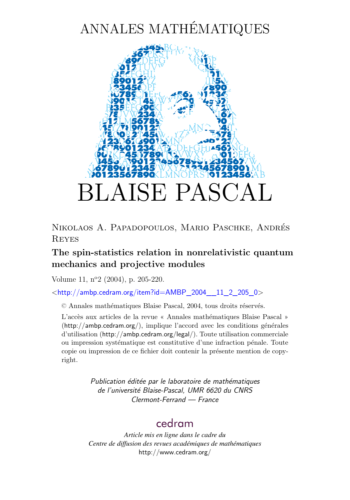# ANNALES MATHÉMATIQUES



Nikolaos A. Papadopoulos, Mario Paschke, Andrés Reyes

### **The spin-statistics relation in nonrelativistic quantum mechanics and projective modules**

Volume 11, n<sup>o</sup>2 (2004), p. 205[-220.](#page-15-0)

 $\lt$ [http://ambp.cedram.org/item?id=AMBP\\_2004\\_\\_11\\_2\\_205\\_0](http://ambp.cedram.org/item?id=AMBP_2004__11_2_205_0)>

© Annales mathématiques Blaise Pascal, 2004, tous droits réservés.

L'accès aux articles de la revue « Annales mathématiques Blaise Pascal » (<http://ambp.cedram.org/>), implique l'accord avec les conditions générales d'utilisation (<http://ambp.cedram.org/legal/>). Toute utilisation commerciale ou impression systématique est constitutive d'une infraction pénale. Toute copie ou impression de ce fichier doit contenir la présente mention de copyright.

> *Publication éditée par le laboratoire de mathématiques de l'université Blaise-Pascal, UMR 6620 du CNRS Clermont-Ferrand — France*

### [cedram](http://www.cedram.org/)

*Article mis en ligne dans le cadre du Centre de diffusion des revues académiques de mathématiques* <http://www.cedram.org/>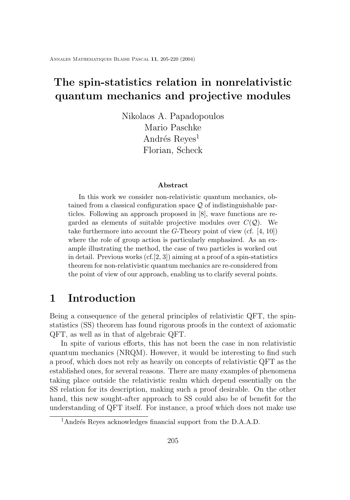# **The spin-statistics relation in nonrelativistic quantum mechanics and projective modules**

Nikolaos A. Papadopoulos Mario Paschke Andrés Reyes<sup>1</sup> Florian, Scheck

#### **Abstract**

In this work we consider non-relativistic quantum mechanics, obtained from a classical configuration space  $\mathcal Q$  of indistinguishable particles. Following an approach proposed in [\[8\]](#page-15-0), wave functions are regarded as elements of suitable projective modules over  $C(Q)$ . We take furthermore into account the G-Theory point of view (cf.  $[4, 10]$  $[4, 10]$  $[4, 10]$ ) where the role of group action is particularly emphasized. As an example illustrating the method, the case of two particles is worked out in detail. Previous works  $(cf.[2, 3])$  $(cf.[2, 3])$  $(cf.[2, 3])$  $(cf.[2, 3])$  $(cf.[2, 3])$  aiming at a proof of a spin-statistics theorem for non-relativistic quantum mechanics are re-considered from the point of view of our approach, enabling us to clarify several points.

### **1 Introduction**

Being a consequence of the general principles of relativistic QFT, the spinstatistics (SS) theorem has found rigorous proofs in the context of axiomatic QFT, as well as in that of algebraic QFT.

In spite of various efforts, this has not been the case in non relativistic quantum mechanics (NRQM). However, it would be interesting to find such a proof, which does not rely as heavily on concepts of relativistic QFT as the established ones, for several reasons. There are many examples of phenomena taking place outside the relativistic realm which depend essentially on the SS relation for its description, making such a proof desirable. On the other hand, this new sought-after approach to SS could also be of benefit for the understanding of QFT itself. For instance, a proof which does not make use

<sup>1</sup>Andrés Reyes acknowledges financial support from the D.A.A.D.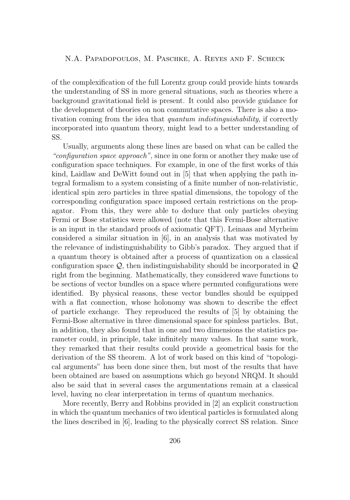of the complexification of the full Lorentz group could provide hints towards the understanding of SS in more general situations, such as theories where a background gravitational field is present. It could also provide guidance for the development of theories on non commutative spaces. There is also a motivation coming from the idea that *quantum indistinguishability*, if correctly incorporated into quantum theory, might lead to a better understanding of SS.

Usually, arguments along these lines are based on what can be called the *"configuration space approach"*, since in one form or another they make use of configuration space techniques. For example, in one of the first works of this kind, Laidlaw and DeWitt found out in [\[5\]](#page-15-0) that when applying the path integral formalism to a system consisting of a finite number of non-relativistic, identical spin zero particles in three spatial dimensions, the topology of the corresponding configuration space imposed certain restrictions on the propagator. From this, they were able to deduce that only particles obeying Fermi or Bose statistics were allowed (note that this Fermi-Bose alternative is an input in the standard proofs of axiomatic QFT). Leinaas and Myrheim considered a similar situation in [\[6\]](#page-15-0), in an analysis that was motivated by the relevance of indistinguishability to Gibb's paradox. They argued that if a quantum theory is obtained after a process of quantization on a classical configuration space  $\mathcal{Q}$ , then indistinguishability should be incorporated in  $\mathcal{Q}$ right from the beginning. Mathematically, they considered wave functions to be sections of vector bundles on a space where permuted configurations were identified. By physical reasons, these vector bundles should be equipped with a flat connection, whose holonomy was shown to describe the effect of particle exchange. They reproduced the results of [\[5\]](#page-15-0) by obtaining the Fermi-Bose alternative in three dimensional space for spinless particles. But, in addition, they also found that in one and two dimensions the statistics parameter could, in principle, take infinitely many values. In that same work, they remarked that their results could provide a geometrical basis for the derivation of the SS theorem. A lot of work based on this kind of "topological arguments" has been done since then, but most of the results that have been obtained are based on assumptions which go beyond NRQM. It should also be said that in several cases the argumentations remain at a classical level, having no clear interpretation in terms of quantum mechanics.

More recently, Berry and Robbins provided in [\[2\]](#page-15-0) an explicit construction in which the quantum mechanics of two identical particles is formulated along the lines described in [\[6\]](#page-15-0), leading to the physically correct SS relation. Since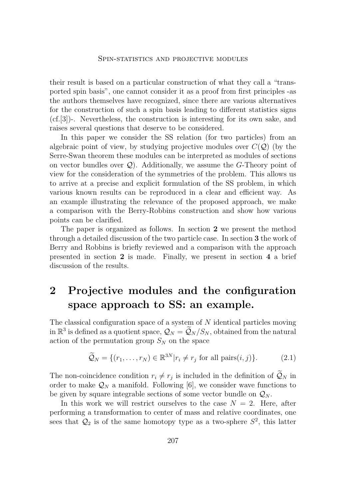<span id="page-3-0"></span>their result is based on a particular construction of what they call a "transported spin basis", one cannot consider it as a proof from first principles -as the authors themselves have recognized, since there are various alternatives for the construction of such a spin basis leading to different statistics signs (cf.[\[3\]](#page-15-0))-. Nevertheless, the construction is interesting for its own sake, and raises several questions that deserve to be considered.

In this paper we consider the SS relation (for two particles) from an algebraic point of view, by studying projective modules over  $C(Q)$  (by the Serre-Swan theorem these modules can be interpreted as modules of sections on vector bundles over  $\mathcal{Q}$ . Additionally, we assume the G-Theory point of view for the consideration of the symmetries of the problem. This allows us to arrive at a precise and explicit formulation of the SS problem, in which various known results can be reproduced in a clear and efficient way. As an example illustrating the relevance of the proposed approach, we make a comparison with the Berry-Robbins construction and show how various points can be clarified.

The paper is organized as follows. In section **2** we present the method through a detailed discussion of the two particle case. In section **3** the work of Berry and Robbins is briefly reviewed and a comparison with the approach presented in section **2** is made. Finally, we present in section **4** a brief discussion of the results.

# **2 Projective modules and the configuration space approach to SS: an example.**

The classical configuration space of a system of N identical particles moving in  $\mathbb{R}^3$  is defined as a quotient space,  $\mathcal{Q}_N = \widetilde{\mathcal{Q}}_N / S_N$ , obtained from the natural action of the permutation group  $S_N$  on the space

$$
\widetilde{\mathcal{Q}}_N = \{ (r_1, \dots, r_N) \in \mathbb{R}^{3N} | r_i \neq r_j \text{ for all pairs}(i, j) \}. \tag{2.1}
$$

The non-coincidence condition  $r_i \neq r_j$  is included in the definition of  $\mathcal{Q}_N$  in order to make  $\mathcal{Q}_N$  a manifold. Following [\[6\]](#page-15-0), we consider wave functions to be given by square integrable sections of some vector bundle on  $\mathcal{Q}_N$ .

In this work we will restrict ourselves to the case  $N = 2$ . Here, after performing a transformation to center of mass and relative coordinates, one sees that  $\mathcal{Q}_2$  is of the same homotopy type as a two-sphere  $S^2$ , this latter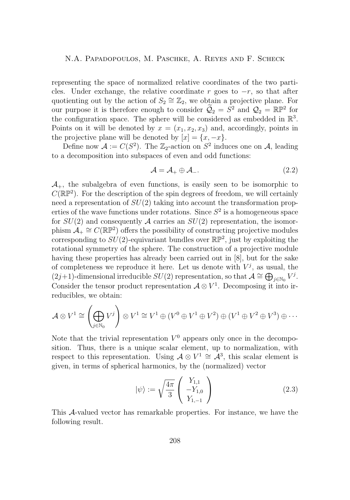<span id="page-4-0"></span>representing the space of normalized relative coordinates of the two particles. Under exchange, the relative coordinate r goes to  $-r$ , so that after quotienting out by the action of  $S_2 \cong \mathbb{Z}_2$ , we obtain a projective plane. For our purpose it is therefore enough to consider  $\widetilde{Q}_2 = S^2$  and  $Q_2 = \mathbb{RP}^2$  for the configuration space. The sphere will be considered as embedded in  $\mathbb{R}^3$ . Points on it will be denoted by  $x = (x_1, x_2, x_3)$  and, accordingly, points in the projective plane will be denoted by  $[x] = \{x, -x\}.$ 

Define now  $\mathcal{A} := C(S^2)$ . The  $\mathbb{Z}_2$ -action on  $S^2$  induces one on  $\mathcal{A}$ , leading to a decomposition into subspaces of even and odd functions:

$$
\mathcal{A} = \mathcal{A}_+ \oplus \mathcal{A}_-.
$$
 (2.2)

 $\mathcal{A}_{+}$ , the subalgebra of even functions, is easily seen to be isomorphic to  $C(\mathbb{RP}^2)$ . For the description of the spin degrees of freedom, we will certainly need a representation of  $SU(2)$  taking into account the transformation properties of the wave functions under rotations. Since  $S^2$  is a homogeneous space for  $SU(2)$  and consequently A carries an  $SU(2)$  representation, the isomorphism  $\mathcal{A}_+ \cong C(\mathbb{RP}^2)$  offers the possibility of constructing projective modules corresponding to  $SU(2)$ -equivariant bundles over  $\mathbb{RP}^2$ , just by exploiting the rotational symmetry of the sphere. The construction of a projective module having these properties has already been carried out in [\[8\]](#page-15-0), but for the sake of completeness we reproduce it here. Let us denote with  $V^j$ , as usual, the  $(2j+1)$ -dimensional irreducible  $SU(2)$  representation, so that  $\mathcal{A} \cong \bigoplus_{j\in\mathbb{N}_0} V^j$ . Consider the tensor product representation  $\mathcal{A} \otimes V^1$ . Decomposing it into irreducibles, we obtain:

$$
\mathcal{A} \otimes V^1 \cong \left(\bigoplus_{j \in \mathbb{N}_0} V^j\right) \otimes V^1 \cong V^1 \oplus (V^0 \oplus V^1 \oplus V^2) \oplus (V^1 \oplus V^2 \oplus V^3) \oplus \cdots
$$

Note that the trivial representation  $V^0$  appears only once in the decomposition. Thus, there is a unique scalar element, up to normalization, with respect to this representation. Using  $A \otimes V^1 \cong \mathcal{A}^3$ , this scalar element is given, in terms of spherical harmonics, by the (normalized) vector

$$
|\psi\rangle := \sqrt{\frac{4\pi}{3}} \begin{pmatrix} Y_{1,1} \\ -Y_{1,0} \\ Y_{1,-1} \end{pmatrix}
$$
 (2.3)

This A-valued vector has remarkable properties. For instance, we have the following result.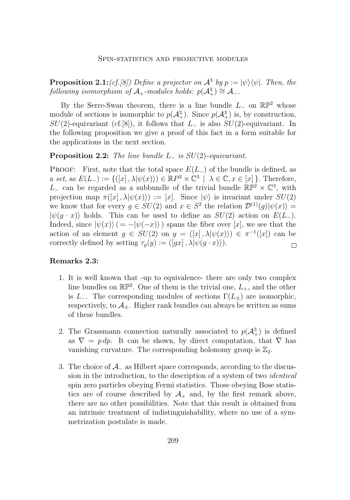<span id="page-5-0"></span>**Proposition 2.1:***(cf.[\[8\]](#page-15-0))* Define a projector on  $\mathcal{A}^3$  by  $p := |\psi\rangle\langle\psi|$ . Then, the  $following\ isomorphism\ of\ \mathcal{A}_+$ -modules holds:  $p(\mathcal{A}_+^3) \cong \mathcal{A}_-.$ 

By the Serre-Swan theorem, there is a line bundle  $L_-\,$  on  $\mathbb{RP}^2$  whose module of sections is isomorphic to  $p(\mathcal{A}^3_+)$ . Since  $p(\mathcal{A}^3_+)$  is, by construction,  $SU(2)$ -equivariant (cf.[\[8\]](#page-15-0)), it follows that  $L_-\;$  is also  $SU(2)$ -equivariant. In the following proposition we give a proof of this fact in a form suitable for the applications in the next section.

#### **Proposition 2.2:** *The line bundle* L<sup>−</sup> *is* SU(2)*-equivariant.*

**PROOF:** First, note that the total space  $E(L_+)$  of the bundle is defined, as a *set*, as  $E(L_{-}) := \{([x], \lambda | \psi(x) \rangle) \in \mathbb{R}P^2 \times \mathbb{C}^3 \mid \lambda \in \mathbb{C}, x \in [x] \}.$  Therefore,  $L_$  can be regarded as a subbundle of the trivial bundle  $\mathbb{RP}^2 \times \mathbb{C}^3$ , with projection map  $\pi([x], \lambda | \psi(x)) := [x]$ . Since  $|\psi\rangle$  is invariant under  $SU(2)$ we know that for every  $g \in SU(2)$  and  $x \in S^2$  the relation  $\mathcal{D}^{(1)}(g)|\psi(x)\rangle =$  $|\psi(g \cdot x)\rangle$  holds. This can be used to define an  $SU(2)$  action on  $E(L_-)$ . Indeed, since  $|\psi(x)\rangle$  (=  $-|\psi(-x)\rangle$ ) spans the fiber over [x], we see that the action of an element  $g \in SU(2)$  on  $y = ([x], \lambda | \psi(x) \rangle) \in \pi^{-1}([x])$  can be correctly defined by setting  $\tau_g(y) := (\left[ gx \right], \lambda | \psi(g \cdot x) \rangle).$  $\Box$ 

#### **Remarks 2.3:**

- 1. It is well known that -up to equivalence- there are only two complex line bundles on  $\mathbb{RP}^2$ . One of them is the trivial one,  $L_+$ , and the other is  $L_$ . The corresponding modules of sections  $\Gamma(L_{\pm})$  are isomorphic, respectively, to  $\mathcal{A}_{\pm}$ . Higher rank bundles can always be written as sums of these bundles.
- 2. The Grassmann connection naturally associated to  $p(\mathcal{A}^3_+)$  is defined as  $\nabla = p dp$ . It can be shown, by direct computation, that  $\nabla$  has vanishing curvature. The corresponding holonomy group is  $\mathbb{Z}_2$ .
- 3. The choice of A<sup>−</sup> as Hilbert space corresponds, according to the discussion in the introduction, to the description of a system of two *identical* spin zero particles obeying Fermi statistics. Those obeying Bose statistics are of course described by  $A_+$  and, by the first remark above, there are no other possibilities. Note that this result is obtained from an intrinsic treatment of indistinguishability, where no use of a symmetrization postulate is made.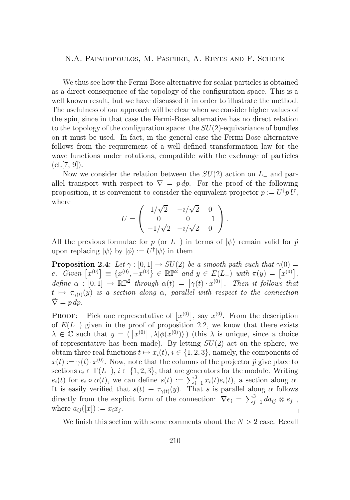<span id="page-6-0"></span>We thus see how the Fermi-Bose alternative for scalar particles is obtained as a direct consequence of the topology of the configuration space. This is a well known result, but we have discussed it in order to illustrate the method. The usefulness of our approach will be clear when we consider higher values of the spin, since in that case the Fermi-Bose alternative has no direct relation to the topology of the configuration space: the  $SU(2)$ -equivariance of bundles on it must be used. In fact, in the general case the Fermi-Bose alternative follows from the requirement of a well defined transformation law for the wave functions under rotations, compatible with the exchange of particles  $(cf.[7, 9]).$  $(cf.[7, 9]).$  $(cf.[7, 9]).$  $(cf.[7, 9]).$  $(cf.[7, 9]).$ 

Now we consider the relation between the  $SU(2)$  action on  $L_-\$  and parallel transport with respect to  $\nabla = p dp$ . For the proof of the following proposition, it is convenient to consider the equivalent projector  $\tilde{p} := U^{\dagger} p U$ , where √

$$
U = \begin{pmatrix} 1/\sqrt{2} & -i/\sqrt{2} & 0 \\ 0 & 0 & -1 \\ -1/\sqrt{2} & -i/\sqrt{2} & 0 \end{pmatrix}.
$$

All the previous formulae for p (or L<sub>−</sub>) in terms of  $|\psi\rangle$  remain valid for  $\tilde{p}$ upon replacing  $|\psi\rangle$  by  $|\phi\rangle := U^{\dagger}|\psi\rangle$  in them.

**Proposition 2.4:** *Let*  $\gamma : [0, 1] \rightarrow SU(2)$  *be a smooth path such that*  $\gamma(0) =$  $e. \text{ Given } [x^{(0)}] \equiv \{x^{(0)}, -x^{(0)}\} \in \mathbb{RP}^2 \text{ and } y \in E(L_-) \text{ with } \pi(y) = [x^{(0)}],$ define  $\alpha : [0,1] \to \mathbb{RP}^2$  through  $\alpha(t) = [\gamma(t) \cdot x^{(0)}]$ . Then it follows that  $t \mapsto \tau_{\gamma(t)}(y)$  *is a section along*  $\alpha$ , *parallel with respect to the connection*  $\tilde{\nabla} = \tilde{p} \, d\tilde{p}$ .

**PROOF:** Pick one representative of  $[x^{(0)}]$ , say  $x^{(0)}$ . From the description of  $E(L_+)$  given in the proof of proposition [2.2,](#page-5-0) we know that there exists  $\lambda \in \mathbb{C}$  such that  $y = (\lceil x^{(0)} \rceil, \lambda | \phi(x^{(0)}) \rangle)$  (this  $\lambda$  is unique, since a choice of representative has been made). By letting  $SU(2)$  act on the sphere, we obtain three real functions  $t \mapsto x_i(t)$ ,  $i \in \{1, 2, 3\}$ , namely, the components of  $x(t) := \gamma(t) \cdot x^{(0)}$ . Now, note that the columns of the projector  $\tilde{p}$  give place to sections  $e_i \in \Gamma(L_-, i \in \{1, 2, 3\}$ , that are generators for the module. Writing  $e_i(t)$  for  $e_i \circ \alpha(t)$ , we can define  $s(t) := \sum_{i=1}^3 x_i(t)e_i(t)$ , a section along  $\alpha$ . It is easily verified that  $s(t) \equiv \tau_{\gamma(t)}(y)$ . That s is parallel along  $\alpha$  follows directly from the explicit form of the connection:  $\tilde{\nabla} e_i = \sum_{j=1}^3 da_{ij} \otimes e_j$ , where  $a_{ij}([x]) := x_i x_j$ .  $\Box$ 

We finish this section with some comments about the  $N > 2$  case. Recall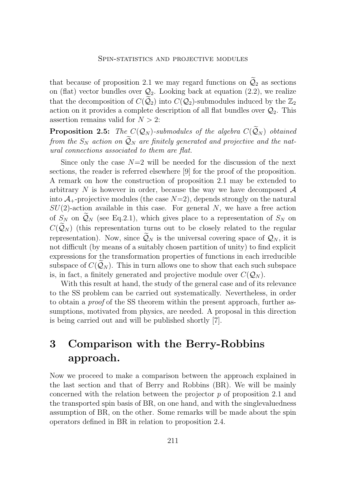that because of proposition [2.1](#page-4-0) we may regard functions on  $\mathcal{Q}_2$  as sections on (flat) vector bundles over  $\mathcal{Q}_2$ . Looking back at equation [\(2.2\)](#page-4-0), we realize that the decomposition of  $C(Q_2)$  into  $C(Q_2)$ -submodules induced by the  $\mathbb{Z}_2$ action on it provides a complete description of all flat bundles over  $\mathcal{Q}_2$ . This assertion remains valid for  $N > 2$ :

**Proposition 2.5:** *The*  $C(Q_N)$ *-submodules of the algebra*  $C(\widetilde{Q}_N)$  *obtained from the*  $S_N$  *action on*  $\widetilde{Q}_N$  *are finitely generated and projective and the natural connections associated to them are flat.*

Since only the case  $N=2$  will be needed for the discussion of the next sections, the reader is referred elsewhere [\[9\]](#page-15-0) for the proof of the proposition. A remark on how the construction of proposition [2.1](#page-4-0) may be extended to arbitrary  $N$  is however in order, because the way we have decomposed  $\mathcal A$ into  $\mathcal{A}_{+}$ -projective modules (the case  $N=2$ ), depends strongly on the natural  $SU(2)$ -action available in this case. For general N, we have a free action of  $S_N$  on  $\widetilde{\mathcal{Q}}_N$  (see Eq[.2.1\)](#page-3-0), which gives place to a representation of  $S_N$  on  $C(\mathcal{Q}_N)$  (this representation turns out to be closely related to the regular representation). Now, since  $\mathcal{Q}_N$  is the universal covering space of  $\mathcal{Q}_N$ , it is not difficult (by means of a suitably chosen partition of unity) to find explicit expressions for the transformation properties of functions in each irreducible subspace of  $C(Q_N)$ . This in turn allows one to show that each such subspace is, in fact, a finitely generated and projective module over  $C(\mathcal{Q}_N)$ .

With this result at hand, the study of the general case and of its relevance to the SS problem can be carried out systematically. Nevertheless, in order to obtain a *proof* of the SS theorem within the present approach, further assumptions, motivated from physics, are needed. A proposal in this direction is being carried out and will be published shortly [\[7\]](#page-15-0).

# **3 Comparison with the Berry-Robbins approach.**

Now we proceed to make a comparison between the approach explained in the last section and that of Berry and Robbins (BR). We will be mainly concerned with the relation between the projector p of proposition [2.1](#page-4-0) and the transported spin basis of BR, on one hand, and with the singlevaluedness assumption of BR, on the other. Some remarks will be made about the spin operators defined in BR in relation to proposition [2.4.](#page-6-0)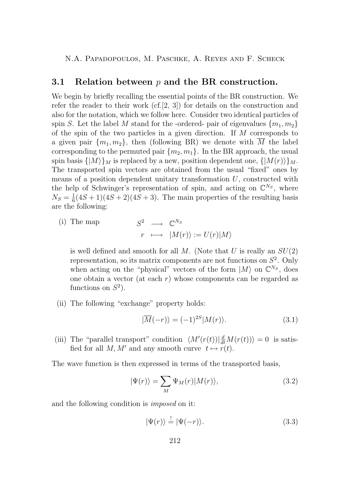#### <span id="page-8-0"></span>**3.1 Relation between** p **and the BR construction.**

We begin by briefly recalling the essential points of the BR construction. We refer the reader to their work  $(cf.[2, 3])$  $(cf.[2, 3])$  $(cf.[2, 3])$  $(cf.[2, 3])$  $(cf.[2, 3])$  for details on the construction and also for the notation, which we follow here. Consider two identical particles of spin S. Let the label M stand for the -ordered- pair of eigenvalues  $\{m_1, m_2\}$ of the spin of the two particles in a given direction. If  $M$  corresponds to a given pair  $\{m_1, m_2\}$ , then (following BR) we denote with M the label corresponding to the permuted pair  $\{m_2, m_1\}$ . In the BR approach, the usual spin basis  $\{|M\rangle\}_M$  is replaced by a new, position dependent one,  $\{|M(r)\rangle\}_M$ . The transported spin vectors are obtained from the usual "fixed" ones by means of a position dependent unitary transformation  $U$ , constructed with the help of Schwinger's representation of spin, and acting on  $\mathbb{C}^{N_S}$ , where  $N_S = \frac{1}{6}(4S+1)(4S+2)(4S+3)$ . The main properties of the resulting basis are the following:

 $(i)$  The map 2  $\longrightarrow \mathbb{C}^{N_S}$  $r \longmapsto |M(r)\rangle := U(r)|M\rangle$ 

is well defined and smooth for all  $M$ . (Note that  $U$  is really an  $SU(2)$ ) representation, so its matrix components are not functions on  $S^2$ . Only when acting on the "physical" vectors of the form  $|M\rangle$  on  $\mathbb{C}^{N_S}$ , does one obtain a vector (at each  $r$ ) whose components can be regarded as functions on  $S^2$ ).

(ii) The following "exchange" property holds:

$$
|\overline{M}(-r)\rangle = (-1)^{2S} |M(r)\rangle.
$$
 (3.1)

(iii) The "parallel transport" condition  $\langle M'(r(t))| \frac{d}{dt} M(r(t)) \rangle = 0$  is satisfied for all M, M' and any smooth curve  $t \mapsto r(t)$ .

The wave function is then expressed in terms of the transported basis,

$$
|\Psi(r)\rangle = \sum_{M} \Psi_{M}(r)|M(r)\rangle, \tag{3.2}
$$

and the following condition is *imposed* on it:

 $|\Psi(r)\rangle \stackrel{!}{=} |\Psi(-r)\rangle.$  (3.3)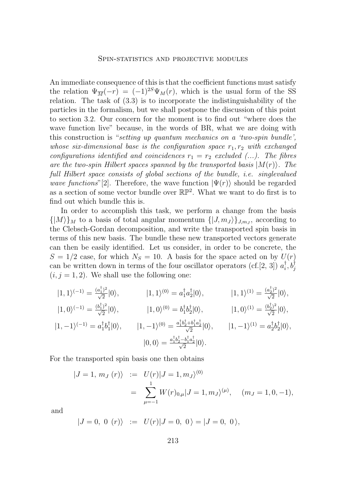An immediate consequence of this is that the coefficient functions must satisfy the relation  $\Psi_{\overline{M}}(-r) = (-1)^{2S} \Psi_M(r)$ , which is the usual form of the SS relation. The task of [\(3.3\)](#page-8-0) is to incorporate the indistinguishability of the particles in the formalism, but we shall postpone the discussion of this point to section [3.2.](#page-10-0) Our concern for the moment is to find out "where does the wave function live" because, in the words of BR, what we are doing with this construction is "*setting up quantum mechanics on a 'two-spin bundle', whose six-dimensional base is the configuration space*  $r_1, r_2$  *with exchanged configurations identified and coincidences*  $r_1 = r_2$  *excluded (...). The fibres* are the two-spin Hilbert spaces spanned by the transported basis  $|M(r)\rangle$ *. The full Hilbert space consists of global sections of the bundle, i.e. singlevalued wave functions*"[\[2\]](#page-15-0). Therefore, the wave function  $|\Psi(r)\rangle$  should be regarded as a section of some vector bundle over  $\mathbb{RP}^2$ . What we want to do first is to find out which bundle this is.

In order to accomplish this task, we perform a change from the basis  $\{|M\rangle\}_M$  to a basis of total angular momentum  $\{|J,m_J\rangle\}_{J,m_J}$ , according to the Clebsch-Gordan decomposition, and write the transported spin basis in terms of this new basis. The bundle these new transported vectors generate can then be easily identified. Let us consider, in order to be concrete, the  $S = 1/2$  case, for which  $N_S = 10$ . A basis for the space acted on by  $U(r)$ can be written down in terms of the four oscillator operators (cf.[\[2,](#page-15-0) [3\]](#page-15-0))  $a_i^{\dagger}, b_j^{\dagger}$  $(i, j = 1, 2)$ . We shall use the following one:

$$
|1, 1\rangle^{(-1)} = \frac{(a_1^{\dagger})^2}{\sqrt{2}}|0\rangle, \t |1, 1\rangle^{(0)} = a_1^{\dagger} a_2^{\dagger} |0\rangle, \t |1, 1\rangle^{(1)} = \frac{(a_2^{\dagger})^2}{\sqrt{2}}|0\rangle, \n|1, 0\rangle^{(-1)} = \frac{(b_1^{\dagger})^2}{\sqrt{2}}|0\rangle, \t |1, 0\rangle^{(0)} = b_1^{\dagger} b_2^{\dagger} |0\rangle, \t |1, 0\rangle^{(1)} = \frac{(b_2^{\dagger})^2}{\sqrt{2}}|0\rangle, \n|1, -1\rangle^{(-1)} = a_1^{\dagger} b_1^{\dagger} |0\rangle, \t |1, -1\rangle^{(0)} = \frac{a_1^{\dagger} b_2^{\dagger} + b_1^{\dagger} a_2^{\dagger}}{\sqrt{2}}|0\rangle, \t |1, -1\rangle^{(1)} = a_2^{\dagger} b_2^{\dagger} |0\rangle, \n|0, 0\rangle = \frac{a_1^{\dagger} b_2^{\dagger} - b_1^{\dagger} a_2^{\dagger}}{\sqrt{2}}|0\rangle.
$$

For the transported spin basis one then obtains

$$
\begin{aligned}\n|J &= 1, \, m_J(r) \rangle &:= U(r)|J = 1, m_J \rangle^{(0)} \\
&= \sum_{\mu=-1}^{1} W(r)_{0,\mu} |J = 1, m_J \rangle^{(\mu)}, \quad (m_J = 1, 0, -1),\n\end{aligned}
$$

and

$$
|J = 0, 0 (r)\rangle := U(r)|J = 0, 0\rangle = |J = 0, 0\rangle,
$$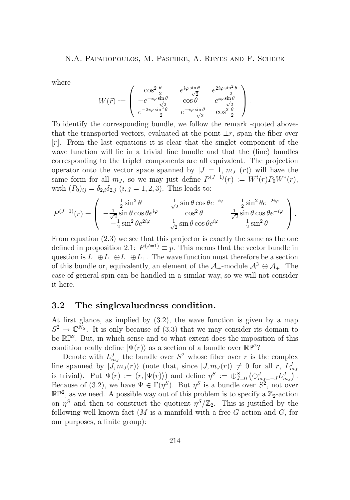<span id="page-10-0"></span>where

$$
W(\vec{r}) := \begin{pmatrix} \cos^2 \frac{\theta}{2} & e^{i\varphi} \frac{\sin \theta}{\sqrt{2}} & e^{2i\varphi} \frac{\sin^2 \theta}{2} \\ -e^{-i\varphi} \frac{\sin \theta}{\sqrt{2}} & \cos \theta & e^{i\varphi} \frac{\sin \theta}{\sqrt{2}} \\ e^{-2i\varphi} \frac{\sin^2 \theta}{2} & -e^{-i\varphi} \frac{\sin \theta}{\sqrt{2}} & \cos^2 \frac{\theta}{2} \end{pmatrix}.
$$

To identify the corresponding bundle, we follow the remark -quoted abovethat the transported vectors, evaluated at the point  $\pm r$ , span the fiber over [r]. From the last equations it is clear that the singlet component of the wave function will lie in a trivial line bundle and that the (line) bundles corresponding to the triplet components are all equivalent. The projection operator onto the vector space spanned by  $|J = 1, m<sub>J</sub>(r)\rangle$  will have the same form for all  $m_J$ , so we may just define  $P^{(J=1)}(r) := W^t(r)P_0W^*(r)$ , with  $(P_0)_{ij} = \delta_{2,i}\delta_{2,j}$   $(i, j = 1, 2, 3)$ . This leads to:

$$
P^{(J=1)}(r) = \begin{pmatrix} \frac{1}{2}\sin^2\theta & -\frac{1}{\sqrt{2}}\sin\theta\cos\theta e^{-i\varphi} & -\frac{1}{2}\sin^2\theta e^{-2i\varphi} \\ -\frac{1}{\sqrt{2}}\sin\theta\cos\theta e^{i\varphi} & \cos^2\theta & \frac{1}{\sqrt{2}}\sin\theta\cos\theta e^{-i\varphi} \\ -\frac{1}{2}\sin^2\theta e^{2i\varphi} & \frac{1}{\sqrt{2}}\sin\theta\cos\theta e^{i\varphi} & \frac{1}{2}\sin^2\theta \end{pmatrix}.
$$

From equation [\(2.3\)](#page-4-0) we see that this projector is exactly the same as the one defined in proposition [2.1:](#page-4-0)  $P^{(J=1)} \equiv p$ . This means that the vector bundle in question is  $L_-\oplus L_-\oplus L_+$ . The wave function must therefore be a section of this bundle or, equivalently, an element of the  $\mathcal{A}_+$ -module  $\mathcal{A}_-^3 \oplus \mathcal{A}_+$ . The case of general spin can be handled in a similar way, so we will not consider it here.

#### **3.2 The singlevaluedness condition.**

At first glance, as implied by [\(3.2\)](#page-8-0), the wave function is given by a map  $S^2 \to \mathbb{C}^{N_S}$ . It is only because of [\(3.3\)](#page-8-0) that we may consider its domain to be  $\mathbb{RP}^2$ . But, in which sense and to what extent does the imposition of this condition really define  $|\Psi(r)\rangle$  as a section of a bundle over  $\mathbb{RP}^2$ ?

Denote with  $L_{m_j}^J$  the bundle over  $S^2$  whose fiber over r is the complex line spanned by  $|J, m_J(r)\rangle$  (note that, since  $|J, m_J(r)\rangle \neq 0$  for all r,  $L^J_{m_J}$ is trivial). Put  $\Psi(r) := (r, |\Psi(r)\rangle)$  and define  $\eta^S := \bigoplus_{J=0}^S (\bigoplus_{m_J=-J}^J L_{m_J}^J)$ . Because of [\(3.2\)](#page-8-0), we have  $\Psi \in \Gamma(\eta^S)$ . But  $\eta^S$  is a bundle over  $S^2$ , not over  $\mathbb{RP}^2$ , as we need. A possible way out of this problem is to specify a  $\mathbb{Z}_2$ -action on  $\eta^S$  and then to construct the quotient  $\eta^S/\mathbb{Z}_2$ . This is justified by the following well-known fact  $(M$  is a manifold with a free  $G$ -action and  $G$ , for our purposes, a finite group):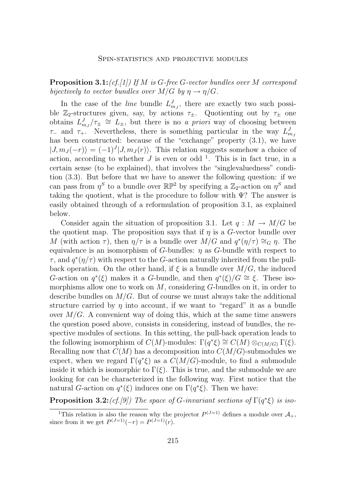<span id="page-11-0"></span>**Proposition 3.1:***(cf.[\[1\]](#page-15-0)) If* M *is* G*-free* G*-vector bundles over* M *correspond bijectively to vector bundles over*  $M/G$  *by*  $\eta \rightarrow \eta/G$ *.* 

In the case of the *line* bundle  $L_{m_j}^J$ , there are exactly two such possible  $\mathbb{Z}_2$ -structures given, say, by actions  $\tau_{\pm}$ . Quotienting out by  $\tau_{\pm}$  one obtains  $L_{mJ}^J/\tau_{\pm} \cong L_{\pm}$ , but there is no *a priori* way of choosing between  $\tau_-\text{ and }\tau_+$ . Nevertheless, there is something particular in the way  $L_{m_j}^J$ has been constructed: because of the "exchange" property  $(3.1)$ , we have  $|J, m_J(-r)\rangle = (-1)^J |J, m_J(r)\rangle$ . This relation suggests somehow a choice of action, according to whether  $J$  is even or odd<sup>1</sup>. This is in fact true, in a certain sense (to be explained), that involves the "singlevaluedness" condition [\(3.3\)](#page-8-0). But before that we have to answer the following question: if we can pass from  $\eta^S$  to a bundle over  $\mathbb{RP}^2$  by specifying a  $\mathbb{Z}_2$ -action on  $\eta^S$  and taking the quotient, what is the procedure to follow with  $\Psi$ ? The answer is easily obtained through of a reformulation of proposition [3.1,](#page-10-0) as explained below.

Consider again the situation of proposition [3.1.](#page-10-0) Let  $q : M \to M/G$  be the quotient map. The proposition says that if  $\eta$  is a G-vector bundle over M (with action  $\tau$ ), then  $\eta/\tau$  is a bundle over  $M/G$  and  $q^*(\eta/\tau) \cong_G \eta$ . The equivalence is an isomorphism of G-bundles:  $\eta$  as G-bundle with respect to  $\tau$ , and  $q^*(\eta/\tau)$  with respect to the G-action naturally inherited from the pullback operation. On the other hand, if  $\xi$  is a bundle over  $M/G$ , the induced G-action on  $q^*(\xi)$  makes it a G-bundle, and then  $q^*(\xi)/G \cong \xi$ . These isomorphisms allow one to work on  $M$ , considering  $G$ -bundles on it, in order to describe bundles on  $M/G$ . But of course we must always take the additional structure carried by  $\eta$  into account, if we want to "regard" it as a bundle over  $M/G$ . A convenient way of doing this, which at the same time answers the question posed above, consists in considering, instead of bundles, the respective modules of sections. In this setting, the pull-back operation leads to the following isomorphism of  $C(M)$ -modules:  $\Gamma(q^*\xi) \cong C(M) \otimes_{C(M/G)} \Gamma(\xi)$ . Recalling now that  $C(M)$  has a decomposition into  $C(M/G)$ -submodules we expect, when we regard  $\Gamma(q^*\xi)$  as a  $C(M/G)$ -module, to find a submodule inside it which is isomorphic to  $\Gamma(\xi)$ . This is true, and the submodule we are looking for can be characterized in the following way. First notice that the natural G-action on  $q^*(\xi)$  induces one on  $\Gamma(q^*\xi)$ . Then we have:

**Proposition 3.2:***(cf.[\[9\]](#page-15-0))* The space of G-invariant sections of  $\Gamma(q^*\xi)$  is iso-

<sup>&</sup>lt;sup>1</sup>This relation is also the reason why the projector  $P^{(J=1)}$  defines a module over  $\mathcal{A}_+$ , since from it we get  $P^{(J=1)}(-r) = P^{(J=1)}(r)$ .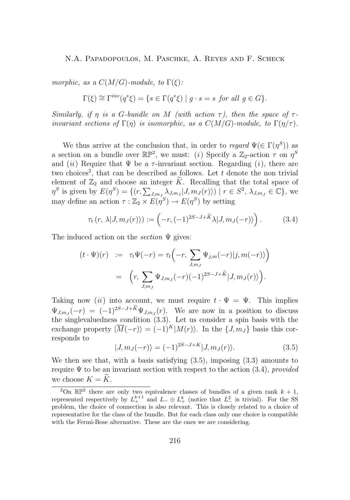<span id="page-12-0"></span>*morphic, as a*  $C(M/G)$ *-module, to*  $\Gamma(\xi)$ *:* 

$$
\Gamma(\xi) \cong \Gamma^{inv}(q^*\xi) = \{ s \in \Gamma(q^*\xi) \mid g \cdot s = s \text{ for all } g \in G \}.
$$

*Similarly, if*  $\eta$  *is a G-bundle on* M *(with action*  $\tau$ *), then the space of*  $\tau$ *invariant sections of*  $\Gamma(\eta)$  *is isomorphic, as a*  $C(M/G)$ *-module, to*  $\Gamma(\eta/\tau)$ *.* 

We thus arrive at the conclusion that, in order to *regard*  $\Psi(\in \Gamma(\eta^S))$  as a section on a bundle over  $\mathbb{RP}^2$ , we must: (*i*) Specify a  $\mathbb{Z}_2$ -action  $\tau$  on  $\eta^S$ and *(ii)* Require that  $\Psi$  be a  $\tau$ -invariant section. Regarding *(i)*, there are two choices<sup>2</sup>, that can be described as follows. Let  $t$  denote the non trivial element of  $\mathbb{Z}_2$  and choose an integer K. Recalling that the total space of  $\eta^S$  is given by  $E(\eta^S) = \{(r, \sum_{J,m_J} \lambda_{J,m_J} | J, m_J(r) \rangle) \mid r \in S^2, \lambda_{J,m_J} \in \mathbb{C}\},\$ we may define an action  $\tau : \mathbb{Z}_2 \times E(\eta^S) \to E(\eta^S)$  by setting

$$
\tau_t(r, \lambda | J, m_J(r) \rangle) := \left( -r, (-1)^{2S-J+\widetilde{K}} \lambda | J, m_J(-r) \rangle \right). \tag{3.4}
$$

The induced action on the *section* Ψ gives:

$$
(t \cdot \Psi)(r) := \tau_t \Psi(-r) = \tau_t \left( -r, \sum_{J,m_J} \Psi_{j,m}(-r) |j, m(-r) \rangle \right)
$$

$$
= \left( r, \sum_{J,m_J} \Psi_{J,m_J}(-r) (-1)^{2S-J+\widetilde{K}} |J, m_J(r) \rangle \right).
$$

Taking now (*ii*) into account, we must require  $t \cdot \Psi = \Psi$ . This implies  $\Psi_{J,m_J}(-r) = (-1)^{2S-J+K} \Psi_{J,m_J}(r)$ . We are now in a position to discuss the singlevaluedness condition [\(3.3\)](#page-8-0). Let us consider a spin basis with the exchange property  $|\overline{M}(-r)\rangle = (-1)^K |M(r)\rangle$ . In the  $\{J, m_J\}$  basis this corresponds to

$$
|J, mJ(-r)\rangle = (-1)^{2S-J+K} |J, mJ(r)\rangle.
$$
 (3.5)

We then see that, with a basis satisfying (3.5), imposing [\(3.3\)](#page-8-0) amounts to require Ψ to be an invariant section with respect to the action (3.4), *provided* we choose  $K = \widetilde{K}$ .

<sup>&</sup>lt;sup>2</sup>On  $\mathbb{RP}^2$  there are only two equivalence classes of bundles of a given rank  $k + 1$ , represented respectively by  $L_{+}^{k+1}$  and  $L_{-} \oplus L_{+}^{k}$  (notice that  $L_{-}^{2}$  is trivial). For the SS problem, the choice of connection is also relevant. This is closely related to a choice of representative for the class of the bundle. But for each class only one choice is compatible with the Fermi-Bose alternative. These are the ones we are considering.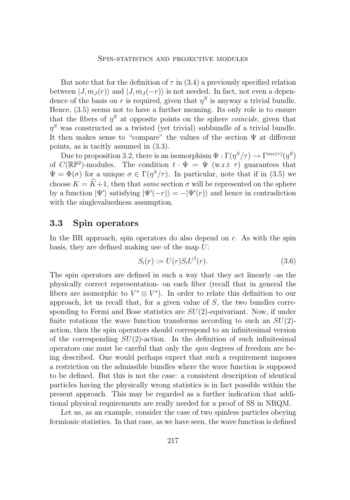<span id="page-13-0"></span>But note that for the definition of  $\tau$  in [\(3.4\)](#page-12-0) a previously specified relation between  $|J, m_J(r)\rangle$  and  $|J, m_J(-r)\rangle$  is not needed. In fact, not even a dependence of the basis on r is required, given that  $\eta^S$  is anyway a trivial bundle. Hence, [\(3.5\)](#page-12-0) seems not to have a further meaning. Its only role is to ensure that the fibers of  $\eta^S$  at opposite points on the sphere *coincide*, given that  $\eta^S$  was constructed as a twisted (yet trivial) subbundle of a trivial bundle. It then makes sense to "compare" the values of the section Ψ at different points, as is tacitly assumed in [\(3.3\)](#page-8-0).

Due to proposition [3.2,](#page-11-0) there is an isomorphism  $\Phi : \Gamma(\eta^S/\tau) \to \Gamma^{inv(\tau)}(\eta^S)$ of  $C(\mathbb{RP}^2)$ -modules. The condition  $t \cdot \Psi = \Psi$  (w.r.t  $\tau$ ) guarantees that  $\Psi = \Phi(\sigma)$  for a unique  $\sigma \in \Gamma(\eta^S/\tau)$ . In particular, note that if in [\(3.5\)](#page-12-0) we choose  $K = \tilde{K}+1$ , then that *same* section  $\sigma$  will be represented on the sphere by a function  $|\Psi'\rangle$  satisfying  $|\Psi'(-r)\rangle = -|\Psi'(r)\rangle$  and hence in contradiction with the singlevaluedness assumption.

#### **3.3 Spin operators**

In the BR approach, spin operators do also depend on  $r$ . As with the spin basis, they are defined making use of the map  $U$ :

$$
S_i(r) := U(r)S_iU^{\dagger}(r). \tag{3.6}
$$

The spin operators are defined in such a way that they act linearly -as the physically correct representation- on each fiber (recall that in general the fibers are isomorphic to  $V^s \otimes V^s$ ). In order to relate this definition to our approach, let us recall that, for a given value of  $S$ , the two bundles corresponding to Fermi and Bose statistics are  $SU(2)$ -equivariant. Now, if under finite rotations the wave function transforms according to such an  $SU(2)$ action, then the spin operators should correspond to an infinitesimal version of the corresponding  $SU(2)$ -action. In the definition of such infinitesimal operators one must be careful that only the *spin* degrees of freedom are being described. One would perhaps expect that such a requirement imposes a restriction on the admissible bundles where the wave function is supposed to be defined. But this is not the case: a consistent description of identical particles having the physically wrong statistics is in fact possible within the present approach. This may be regarded as a further indication that additional physical requirements are really needed for a proof of SS in NRQM.

Let us, as an example, consider the case of two spinless particles obeying fermionic statistics. In that case, as we have seen, the wave function is defined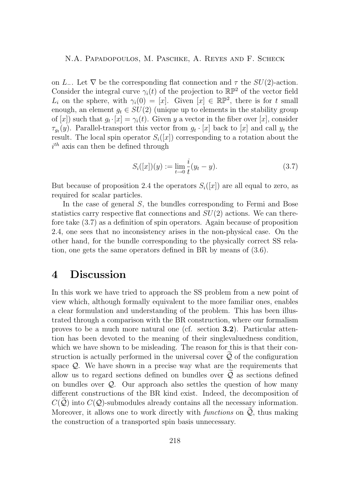on L<sub>−</sub>. Let  $\nabla$  be the corresponding flat connection and  $\tau$  the SU(2)-action. Consider the integral curve  $\gamma_i(t)$  of the projection to  $\mathbb{RP}^2$  of the vector field  $L_i$  on the sphere, with  $\gamma_i(0) = [x]$ . Given  $[x] \in \mathbb{RP}^2$ , there is for t small enough, an element  $g_t \in SU(2)$  (unique up to elements in the stability group of [x]) such that  $g_t \cdot [x] = \gamma_i(t)$ . Given y a vector in the fiber over [x], consider  $\tau_{g_t}(y)$ . Parallel-transport this vector from  $g_t \cdot [x]$  back to  $[x]$  and call  $y_t$  the result. The local spin operator  $S_i(x)$  corresponding to a rotation about the  $i<sup>th</sup>$  axis can then be defined through

$$
S_i([x])(y) := \lim_{t \to 0} \frac{i}{t}(y_t - y). \tag{3.7}
$$

But because of proposition [2.4](#page-6-0) the operators  $S_i([x])$  are all equal to zero, as required for scalar particles.

In the case of general S, the bundles corresponding to Fermi and Bose statistics carry respective flat connections and  $SU(2)$  actions. We can therefore take (3.7) as a definition of spin operators. Again because of proposition [2.4,](#page-6-0) one sees that no inconsistency arises in the non-physical case. On the other hand, for the bundle corresponding to the physically correct SS relation, one gets the same operators defined in BR by means of [\(3.6\)](#page-13-0).

### **4 Discussion**

In this work we have tried to approach the SS problem from a new point of view which, although formally equivalent to the more familiar ones, enables a clear formulation and understanding of the problem. This has been illustrated through a comparison with the BR construction, where our formalism proves to be a much more natural one (cf. section **3.2**). Particular attention has been devoted to the meaning of their singlevaluedness condition, which we have shown to be misleading. The reason for this is that their construction is actually performed in the universal cover  $\mathcal Q$  of the configuration space  $\mathcal{Q}$ . We have shown in a precise way what are the requirements that allow us to regard sections defined on bundles over  $\mathcal{Q}$  as sections defined on bundles over  $Q$ . Our approach also settles the question of how many different constructions of the BR kind exist. Indeed, the decomposition of  $C(Q)$  into  $C(Q)$ -submodules already contains all the necessary information. Moreover, it allows one to work directly with *functions* on  $\mathcal{Q}$ , thus making the construction of a transported spin basis unnecessary.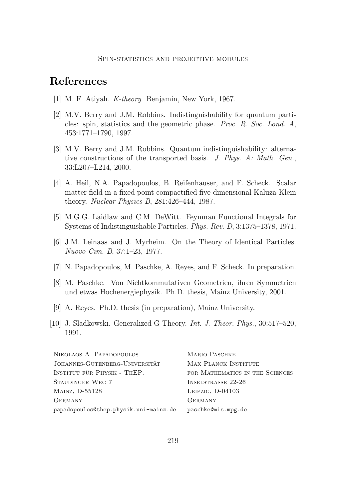### <span id="page-15-0"></span>**References**

- [1] M. F. Atiyah. *K-theory*. Benjamin, New York, 1967.
- [2] M.V. Berry and J.M. Robbins. Indistinguishability for quantum particles: spin, statistics and the geometric phase. *Proc. R. Soc. Lond. A*, 453:1771–1790, 1997.
- [3] M.V. Berry and J.M. Robbins. Quantum indistinguishability: alternative constructions of the transported basis. *J. Phys. A: Math. Gen.*, 33:L207–L214, 2000.
- [4] A. Heil, N.A. Papadopoulos, B. Reifenhauser, and F. Scheck. Scalar matter field in a fixed point compactified five-dimensional Kaluza-Klein theory. *Nuclear Physics B*, 281:426–444, 1987.
- [5] M.G.G. Laidlaw and C.M. DeWitt. Feynman Functional Integrals for Systems of Indistinguishable Particles. *Phys. Rev. D*, 3:1375–1378, 1971.
- [6] J.M. Leinaas and J. Myrheim. On the Theory of Identical Particles. *Nuovo Cim. B*, 37:1–23, 1977.
- [7] N. Papadopoulos, M. Paschke, A. Reyes, and F. Scheck. In preparation.
- [8] M. Paschke. Von Nichtkommutativen Geometrien, ihren Symmetrien und etwas Hochenergiephysik. Ph.D. thesis, Mainz University, 2001.
- [9] A. Reyes. Ph.D. thesis (in preparation), Mainz University.
- [10] J. Sladkowski. Generalized G-Theory. *Int. J. Theor. Phys.*, 30:517–520, 1991.

| NIKOLAOS A. PAPADOPOULOS              | <b>MARIO PASCHKE</b>            |
|---------------------------------------|---------------------------------|
| JOHANNES-GUTENBERG-UNIVERSITÄT        | MAX PLANCK INSTITUTE            |
| INSTITUT FÜR PHYSIK - THEP.           | FOR MATHEMATICS IN THE SCIENCES |
| STAUDINGER WEG 7                      | INSELSTRASSE 22-26              |
| MAINZ, D-55128                        | LEIPZIG, $D-04103$              |
| <b>GERMANY</b>                        | <b>GERMANY</b>                  |
| papadopoulos@thep.physik.uni-mainz.de | paschke@mis.mpg.de              |